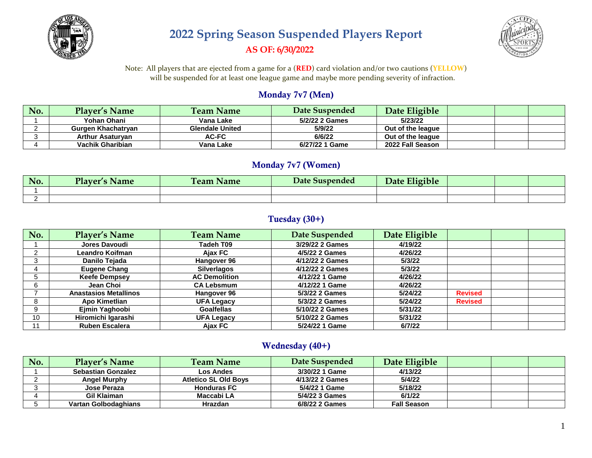

# **2022 Spring Season Suspended Players Report AS OF: 6/30/2022**



Note: All players that are ejected from a game for a (**RED**) card violation and/or two cautions (**YELLOW**) will be suspended for at least one league game and maybe more pending severity of infraction.

#### Monday 7v7 (Men)

| No. | <b>Player's Name</b>    | <b>Team Name</b>       | Date Suspended | Date Eligible     |  |  |
|-----|-------------------------|------------------------|----------------|-------------------|--|--|
|     | Yohan Ohani             | Vana Lake              | 5/2/22 2 Games | 5/23/22           |  |  |
|     | Gurgen Khachatryan      | <b>Glendale United</b> | 5/9/22         | Out of the league |  |  |
|     | <b>Arthur Asaturvan</b> | <b>AC-FC</b>           | 6/6/22         | Out of the league |  |  |
|     | Vachik Gharibian        | Vana Lake              | 6/27/22 1 Game | 2022 Fall Season  |  |  |

#### Monday 7v7 (Women)

| No. | Player'<br><b>Name</b><br>- 100 | --<br><b>Name</b><br><b>Team</b> | Date Suspended | Eligible<br>Date |  |  |
|-----|---------------------------------|----------------------------------|----------------|------------------|--|--|
|     |                                 |                                  |                |                  |  |  |
|     |                                 |                                  |                |                  |  |  |

#### Tuesday (30+)

| No. | <b>Player's Name</b>         | <b>Team Name</b>     | Date Suspended  | Date Eligible |                |  |
|-----|------------------------------|----------------------|-----------------|---------------|----------------|--|
|     | Jores Davoudi                | Tadeh T09            | 3/29/22 2 Games | 4/19/22       |                |  |
|     | Leandro Koifman              | Ajax FC              | 4/5/22 2 Games  | 4/26/22       |                |  |
|     | Danilo Tejada                | Hangover 96          | 4/12/22 2 Games | 5/3/22        |                |  |
|     | <b>Eugene Chang</b>          | <b>Silverlagos</b>   | 4/12/22 2 Games | 5/3/22        |                |  |
|     | <b>Keefe Dempsey</b>         | <b>AC Demolition</b> | 4/12/22 1 Game  | 4/26/22       |                |  |
|     | Jean Choi                    | <b>CA Lebsmum</b>    | 4/12/22 1 Game  | 4/26/22       |                |  |
|     | <b>Anastasios Metallinos</b> | Hangover 96          | 5/3/22 2 Games  | 5/24/22       | <b>Revised</b> |  |
|     | Apo Kimetlian                | <b>UFA Legacy</b>    | 5/3/22 2 Games  | 5/24/22       | <b>Revised</b> |  |
|     | Ejmin Yaghoobi               | <b>Goalfellas</b>    | 5/10/22 2 Games | 5/31/22       |                |  |
| 10  | Hiromichi Igarashi           | <b>UFA Legacy</b>    | 5/10/22 2 Games | 5/31/22       |                |  |
|     | <b>Ruben Escalera</b>        | Ajax FC              | 5/24/22 1 Game  | 6/7/22        |                |  |

#### Wednesday (40+)

| No. | <b>Player's Name</b>      | <b>Team Name</b>            | Date Suspended  | Date Eligible      |  |  |
|-----|---------------------------|-----------------------------|-----------------|--------------------|--|--|
|     | <b>Sebastian Gonzalez</b> | Los Andes                   | 3/30/22 1 Game  | 4/13/22            |  |  |
|     | <b>Angel Murphy</b>       | <b>Atletico SL Old Boys</b> | 4/13/22 2 Games | 5/4/22             |  |  |
|     | Jose Peraza               | <b>Honduras FC</b>          | 5/4/22 1 Game   | 5/18/22            |  |  |
|     | Gil Klaiman               | Maccabi LA                  | 5/4/22 3 Games  | 6/1/22             |  |  |
|     | Vartan Golbodaghians      | <b>Hrazdan</b>              | 6/8/22 2 Games  | <b>Fall Season</b> |  |  |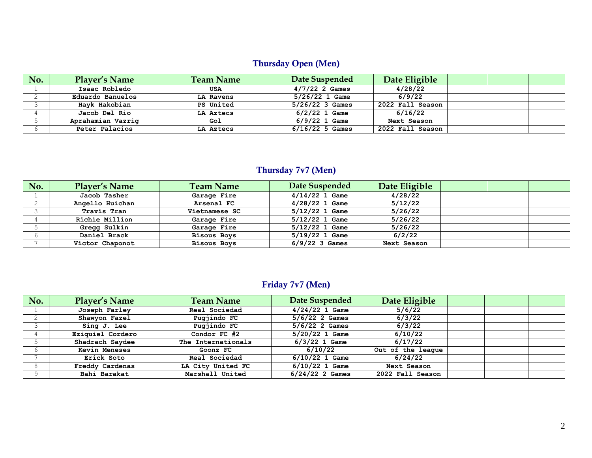# Thursday Open (Men)

| No. | <b>Player's Name</b> | <b>Team Name</b> | Date Suspended    | Date Eligible    |  |  |
|-----|----------------------|------------------|-------------------|------------------|--|--|
|     | Isaac Robledo        | <b>USA</b>       | $4/7/22$ 2 Games  | 4/28/22          |  |  |
|     | Eduardo Banuelos     | LA Ravens        | $5/26/22$ 1 Game  | 6/9/22           |  |  |
|     | Hayk Hakobian        | <b>PS United</b> | $5/26/22$ 3 Games | 2022 Fall Season |  |  |
|     | Jacob Del Rio        | LA Aztecs        | $6/2/22$ 1 Game   | 6/16/22          |  |  |
|     | Aprahamian Vazrig    | Gol              | $6/9/22$ 1 Game   | Next Season      |  |  |
|     | Peter Palacios       | LA Aztecs        | $6/16/22$ 5 Games | 2022 Fall Season |  |  |

### Thursday 7v7 (Men)

| No. | <b>Player's Name</b> | <b>Team Name</b>   | Date Suspended   | Date Eligible |  |  |
|-----|----------------------|--------------------|------------------|---------------|--|--|
|     | Jacob Tasher         | Garage Fire        | $4/14/22$ 1 Game | 4/28/22       |  |  |
|     | Angello Huichan      | Arsenal FC         | $4/28/22$ 1 Game | 5/12/22       |  |  |
|     | <b>Travis Tran</b>   | Vietnamese SC      | $5/12/22$ 1 Game | 5/26/22       |  |  |
|     | Richie Million       | Garage Fire        | $5/12/22$ 1 Game | 5/26/22       |  |  |
|     | Gregg Sulkin         | Garage Fire        | $5/12/22$ 1 Game | 5/26/22       |  |  |
|     | Daniel Brack         | <b>Bisous Boys</b> | $5/19/22$ 1 Game | 6/2/22        |  |  |
|     | Victor Chaponot      | <b>Bisous Boys</b> | $6/9/22$ 3 Games | Next Season   |  |  |

## Friday 7v7 (Men)

| No. | <b>Player's Name</b> | <b>Team Name</b>   | Date Suspended    | Date Eligible     |  |  |
|-----|----------------------|--------------------|-------------------|-------------------|--|--|
|     | Joseph Farley        | Real Sociedad      | $4/24/22$ 1 Game  | 5/6/22            |  |  |
|     | Shawyon Fazel        | Pugjindo FC        | $5/6/22$ 2 Games  | 6/3/22            |  |  |
|     | Sing J. Lee          | Pugjindo FC        | $5/6/22$ 2 Games  | 6/3/22            |  |  |
|     | Eziquiel Cordero     | Condor FC #2       | $5/20/22$ 1 Game  | 6/10/22           |  |  |
|     | Shadrach Saydee      | The Internationals | $6/3/22$ 1 Game   | 6/17/22           |  |  |
|     | <b>Kevin Meneses</b> | Goonz FC           | 6/10/22           | Out of the league |  |  |
|     | Erick Soto           | Real Sociedad      | $6/10/22$ 1 Game  | 6/24/22           |  |  |
|     | Freddy Cardenas      | LA City United FC  | $6/10/22$ 1 Game  | Next Season       |  |  |
|     | Bahi Barakat         | Marshall United    | $6/24/22$ 2 Games | 2022 Fall Season  |  |  |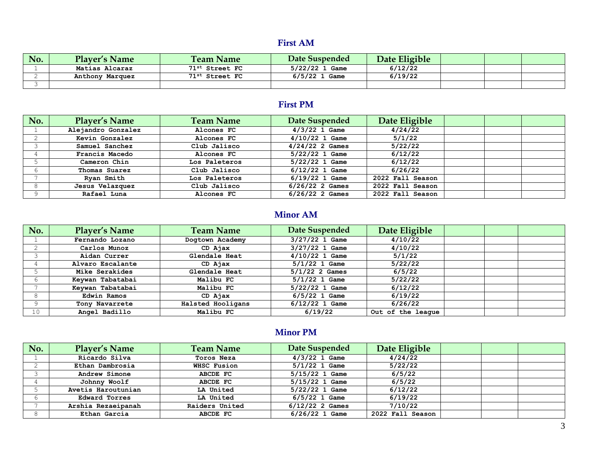### First AM

| No. | <b>Player's Name</b> | <b>Team Name</b>           | Date Suspended  | Date Eligible |  |  |
|-----|----------------------|----------------------------|-----------------|---------------|--|--|
|     | Matias Alcaraz       | 71st Street FC             | 5/22/22 1 Game  | 6/12/22       |  |  |
|     | Anthony Marquez      | 71 <sup>st</sup> Street FC | $6/5/22$ 1 Game | 6/19/22       |  |  |
|     |                      |                            |                 |               |  |  |

### First PM

| No. | <b>Player's Name</b> | <b>Team Name</b> | Date Suspended    | Date Eligible    |  |  |
|-----|----------------------|------------------|-------------------|------------------|--|--|
|     | Alejandro Gonzalez   | Alcones FC       | $4/3/22$ 1 Game   | 4/24/22          |  |  |
|     | Kevin Gonzalez       | Alcones FC       | $4/10/22$ 1 Game  | 5/1/22           |  |  |
|     | Samuel Sanchez       | Club Jalisco     | $4/24/22$ 2 Games | 5/22/22          |  |  |
|     | Francis Macedo       | Alcones FC       | $5/22/22$ 1 Game  | 6/12/22          |  |  |
|     | Cameron Chin         | Los Paleteros    | $5/22/22$ 1 Game  | 6/12/22          |  |  |
|     | Thomas Suarez        | Club Jalisco     | $6/12/22$ 1 Game  | 6/26/22          |  |  |
|     | Ryan Smith           | Los Paleteros    | $6/19/22$ 1 Game  | 2022 Fall Season |  |  |
|     | Jesus Velazquez      | Club Jalisco     | $6/26/22$ 2 Games | 2022 Fall Season |  |  |
|     | Rafael Luna          | Alcones FC       | $6/26/22$ 2 Games | 2022 Fall Season |  |  |

# Minor AM

| No.             | <b>Player's Name</b> | <b>Team Name</b>  | Date Suspended   | Date Eligible     |  |  |
|-----------------|----------------------|-------------------|------------------|-------------------|--|--|
|                 | Fernando Lozano      | Dogtown Academy   | $3/27/22$ 1 Game | 4/10/22           |  |  |
|                 | Carlos Munoz         | CD Ajax           | $3/27/22$ 1 Game | 4/10/22           |  |  |
|                 | Aidan Currer         | Glendale Heat     | $4/10/22$ 1 Game | 5/1/22            |  |  |
|                 | Alvaro Escalante     | CD Ajax           | $5/1/22$ 1 Game  | 5/22/22           |  |  |
|                 | Mike Serakides       | Glendale Heat     | $5/1/22$ 2 Games | 6/5/22            |  |  |
|                 | Keywan Tabatabai     | Malibu FC         | $5/1/22$ 1 Game  | 5/22/22           |  |  |
|                 | Keywan Tabatabai     | Malibu FC         | $5/22/22$ 1 Game | 6/12/22           |  |  |
|                 | Edwin Ramos          | CD Ajax           | $6/5/22$ 1 Game  | 6/19/22           |  |  |
|                 | Tony Navarrete       | Halsted Hooligans | $6/12/22$ 1 Game | 6/26/22           |  |  |
| 10 <sup>°</sup> | Angel Badillo        | Malibu FC         | 6/19/22          | Out of the league |  |  |

### Minor PM

| No. | <b>Player's Name</b> | <b>Team Name</b> | Date Suspended    | Date Eligible    |  |  |
|-----|----------------------|------------------|-------------------|------------------|--|--|
|     | Ricardo Silva        | Toros Neza       | $4/3/22$ 1 Game   | 4/24/22          |  |  |
|     | Ethan Dambrosia      | WHSC Fusion      | $5/1/22$ 1 Game   | 5/22/22          |  |  |
|     | Andrew Simone        | ABCDE FC         | $5/15/22$ 1 Game  | 6/5/22           |  |  |
|     | Johnny Woolf         | ABCDE FC         | $5/15/22$ 1 Game  | 6/5/22           |  |  |
|     | Avetis Haroutunian   | LA United        | $5/22/22$ 1 Game  | 6/12/22          |  |  |
|     | <b>Edward Torres</b> | LA United        | $6/5/22$ 1 Game   | 6/19/22          |  |  |
|     | Arshia Rezaeipanah   | Raiders United   | $6/12/22$ 2 Games | 7/10/22          |  |  |
|     | Ethan Garcia         | ABCDE FC         | $6/26/22$ 1 Game  | 2022 Fall Season |  |  |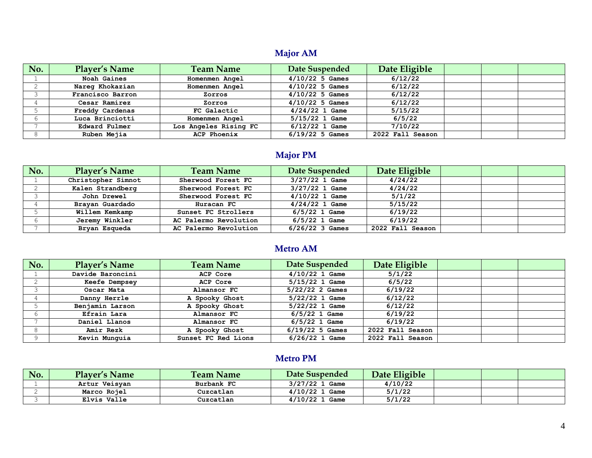## Major AM

| No. | <b>Player's Name</b> | <b>Team Name</b>      | Date Suspended    | Date Eligible    |  |  |
|-----|----------------------|-----------------------|-------------------|------------------|--|--|
|     | Noah Gaines          | Homenmen Angel        | $4/10/22$ 5 Games | 6/12/22          |  |  |
|     | Nareg Khokazian      | Homenmen Angel        | $4/10/22$ 5 Games | 6/12/22          |  |  |
|     | Francisco Barron     | Zorros                | $4/10/22$ 5 Games | 6/12/22          |  |  |
|     | Cesar Ramirez        | Zorros                | $4/10/22$ 5 Games | 6/12/22          |  |  |
|     | Freddy Cardenas      | FC Galactic           | $4/24/22$ 1 Game  | 5/15/22          |  |  |
|     | Luca Brinciotti      | Homenmen Angel        | $5/15/22$ 1 Game  | 6/5/22           |  |  |
|     | Edward Fulmer        | Los Angeles Rising FC | $6/12/22$ 1 Game  | 7/10/22          |  |  |
|     | Ruben Mejia          | <b>ACP Phoenix</b>    | $6/19/22$ 5 Games | 2022 Fall Season |  |  |

## Major PM

| No. | <b>Player's Name</b> | <b>Team Name</b>      | Date Suspended    | Date Eligible    |  |  |
|-----|----------------------|-----------------------|-------------------|------------------|--|--|
|     | Christopher Simnot   | Sherwood Forest FC    | $3/27/22$ 1 Game  | 4/24/22          |  |  |
|     | Kalen Strandberg     | Sherwood Forest FC    | $3/27/22$ 1 Game  | 4/24/22          |  |  |
|     | John Drewel          | Sherwood Forest FC    | $4/10/22$ 1 Game  | 5/1/22           |  |  |
|     | Brayan Guardado      | Huracan FC            | $4/24/22$ 1 Game  | 5/15/22          |  |  |
|     | Willem Kemkamp       | Sunset FC Strollers   | $6/5/22$ 1 Game   | 6/19/22          |  |  |
|     | Jeremy Winkler       | AC Palermo Revolution | $6/5/22$ 1 Game   | 6/19/22          |  |  |
|     | Bryan Esqueda        | AC Palermo Revolution | $6/26/22$ 3 Games | 2022 Fall Season |  |  |

# Metro AM

|                 |                      |                       | <b>Major AM</b>       |                  |  |   |  |  |
|-----------------|----------------------|-----------------------|-----------------------|------------------|--|---|--|--|
| No.             | <b>Player's Name</b> | <b>Team Name</b>      | Date Suspended        | Date Eligible    |  |   |  |  |
|                 | Noah Gaines          | Homenmen Angel        | $4/10/22$ 5 Games     | 6/12/22          |  |   |  |  |
| $\mathbf{2}$    | Nareg Khokazian      | Homenmen Angel        | $4/10/22$ 5 Games     | 6/12/22          |  |   |  |  |
| 3               | Francisco Barron     | Zorros                | $4/10/22$ 5 Games     | 6/12/22          |  |   |  |  |
| 4               | Cesar Ramirez        | Zorros                | $4/10/22$ 5 Games     | 6/12/22          |  |   |  |  |
| 5               | Freddy Cardenas      | FC Galactic           | $4/24/22$ 1 Game      | 5/15/22          |  |   |  |  |
| 6               | Luca Brinciotti      | Homenmen Angel        | $5/15/22$ 1 Game      | 6/5/22           |  |   |  |  |
| 7               | Edward Fulmer        | Los Angeles Rising FC | $6/12/22$ 1 Game      | 7/10/22          |  |   |  |  |
| 8               | Ruben Mejia          | <b>ACP Phoenix</b>    | $6/19/22$ 5 Games     | 2022 Fall Season |  |   |  |  |
|                 |                      |                       | <b>Major PM</b>       |                  |  |   |  |  |
| No.             | <b>Player's Name</b> | <b>Team Name</b>      | <b>Date Suspended</b> | Date Eligible    |  |   |  |  |
| 1               | Christopher Simnot   | Sherwood Forest FC    | $3/27/22$ 1 Game      | 4/24/22          |  |   |  |  |
| 2               | Kalen Strandberg     | Sherwood Forest FC    | $3/27/22$ 1 Game      | 4/24/22          |  |   |  |  |
| 3               | John Drewel          | Sherwood Forest FC    | $4/10/22$ 1 Game      | 5/1/22           |  |   |  |  |
| 4               | Brayan Guardado      | Huracan FC            | $4/24/22$ 1 Game      | 5/15/22          |  |   |  |  |
| 5               | Willem Kemkamp       | Sunset FC Strollers   | $6/5/22$ 1 Game       | 6/19/22          |  |   |  |  |
| 6               | Jeremy Winkler       | AC Palermo Revolution | $6/5/22$ 1 Game       | 6/19/22          |  |   |  |  |
| 7               | Bryan Esqueda        | AC Palermo Revolution | $6/26/22$ 3 Games     | 2022 Fall Season |  |   |  |  |
|                 | <b>Metro AM</b>      |                       |                       |                  |  |   |  |  |
| No.             | <b>Player's Name</b> | <b>Team Name</b>      | <b>Date Suspended</b> | Date Eligible    |  |   |  |  |
| $\mathbf{1}$    | Davide Baroncini     | ACP Core              | $4/10/22$ 1 Game      | 5/1/22           |  |   |  |  |
| $\mathbf{2}$    | Keefe Dempsey        | ACP Core              | $5/15/22$ 1 Game      | 6/5/22           |  |   |  |  |
| 3               | Oscar Mata           | Almansor FC           | 5/22/22 2 Games       | 6/19/22          |  |   |  |  |
| 4               | Danny Herrle         | A Spooky Ghost        | $5/22/22$ 1 Game      | 6/12/22          |  |   |  |  |
| 5               | Benjamin Larson      | A Spooky Ghost        | $5/22/22$ 1 Game      | 6/12/22          |  |   |  |  |
| 6               | Efrain Lara          | Almansor FC           | $6/5/22$ 1 Game       | 6/19/22          |  |   |  |  |
| 7               | Daniel Llanos        | Almansor FC           | $6/5/22$ 1 Game       | 6/19/22          |  |   |  |  |
| 8               | Amir Rezk            | A Spooky Ghost        | $6/19/22$ 5 Games     | 2022 Fall Season |  |   |  |  |
| 9               | Kevin Munquia        | Sunset FC Red Lions   | $6/26/22$ 1 Game      | 2022 Fall Season |  |   |  |  |
| <b>Metro PM</b> |                      |                       |                       |                  |  |   |  |  |
| No.             | <b>Player's Name</b> | <b>Team Name</b>      | <b>Date Suspended</b> | Date Eligible    |  |   |  |  |
| 1               | Artur Veisyan        | Burbank FC            | $3/27/22$ 1 Game      | 4/10/22          |  |   |  |  |
| $\overline{2}$  | Marco Rojel          | Cuzcatlan             | $4/10/22$ 1 Game      | 5/1/22           |  |   |  |  |
| 3               | Elvis Valle          | Cuzcatlan             | $4/10/22$ 1 Game      | 5/1/22           |  |   |  |  |
|                 |                      |                       |                       |                  |  | 4 |  |  |

### Metro PM

| No. | <b>Plaver's Name</b> | <b>Team Name</b> | Date Suspended   | Date Eligible |  |  |
|-----|----------------------|------------------|------------------|---------------|--|--|
|     | Artur Veisyan        | Burbank FC       | $3/27/22$ 1 Game | 4/10/22       |  |  |
|     | Marco Rojel          | Cuzcatlan        | $4/10/22$ 1 Game | 5/1/22        |  |  |
|     | Elvis Valle          | Cuzcatlan        | $4/10/22$ 1 Game | 5/1/22        |  |  |